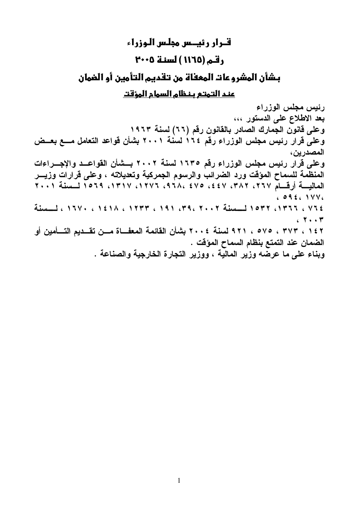# قيرار رئيس مجلس الوزراء رقم (١١٦٥ ) لسنة ٢٠٠٥ بشأن المشروعات المعفاة من تقديم التأمين أو الضمان عند التمتع بنظام السمام المؤقت

رئيس مجلس الوزراء بعد الاطلاع على الدستور ... وعلى فانون الجمارك الصادر بالقانون رقم (٦٦) لسنة ١٩٦٣ وعلى قرار رئيس مجلس الوزراء رقم ٢١٢ لسنة ٢٠٠١ بشأن قواعد التعامل مسع بعــض المصدرين، وعلى قرار رئيس مجلس الوزراء رقم ١٦٣٥ لسنة ٢٠٠٢ بسشأن القواعـد والإجــراءات المنظمة للسماح المؤقت ورد الضرائب والرسوم الجمركية وتعديلاته ، وعلى قرارات وزيـــر المعاليسة أرقسام ٢٦٧، ٣٨٢، ٤٤٧، ٤٤٧، ٤٧٥، ١٣١٧، ١٣١٧، ١٥٦٩. لمسنة ٢٠٠١  $6946.1VV6$ ١٣٦٤، ١٣٦٦، ١٣٩٧ لمسلسلة ٣٩، ٢٩، ٢٩، ١٩٣٣، ١٣٣٢، ١٣٧٠، ١٣٧٠، لمسلسلة  $(5, 7)$ ١٤٢ ، ٣٧٣ ، ٥٧٥ ، ٩٢١ لسنة ٢٠٠٤ بشأن القائمة المعفــاة مــن تقــديم التـــأمين أو الضمان عند التمتع بنظام السماح المؤقت . وبناء على ما عرضّه وزير الماليّة ، ووزير التجارة الخارجية والصناعة .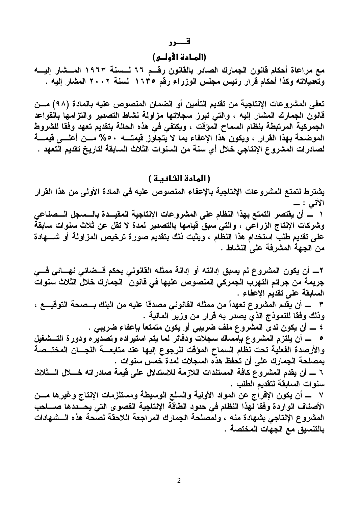# (المادة الأولـى)

مع مراعاة أحكام قانون الجمارك الصادر بالقانون رقسم ٦٦ لسسنة ١٩٦٣ المسشار إليسه وتعديلاته وكذا أحكام قرار رئيس مجلس الوزراء رقم ١٦٣٥ لسنة ٢٠٠٢ المشار إليه .

تعفي المشروعات الإنتاجية من تقديم التأمين أو الضمان المنصوص عليه بالمادة (٩٨) مــن قانون الجمارك المشار إليه ، والتي تبرز سجلاتها مزاولة نشاط التصدير والتزامها بالقواعد الجمركية المرتبطة بنظام السماح المؤقت ، ويكتفي في هذه الحالة بتقديم تعهد وفقا للشروط الموضحة بهذا القرار ، ويكون هذا الإعفاء بما لا يتجاوز قيمتــــه ٥٠% مـــن أعلـــي قيمــــة لصادرات المشروع الإنتاجي خلال أي سنة من السنوات الثلاث السابقة لتاريخ تقديم التعهد .

# (المادة الثانية )

يشترط لتمتع المشروعات الإنتاجية بالإعفاء المنصوص عليه فى المادة الأولى من هذا القرار الآتس : ۔ ١ ـــــ أن يقتصر التمتع بهذا النظام على المشروعات الإنتاجية المقيـــدة بالـــسجل الـــصنـاعي وشركات الإنتاج الزراعى ، والتى سبق قيامها بالتصدير لمدة لا تقل عن ثلاث سنوات سابقةً على تقديم طلب استخدام هذا النظام ، ويثبت ذلك بتقديم صورة ترخيص المزاولة أو شــــهادة من الجهة المشرفة على النشاط .

٢ـــــ أن يكون المشروع لم يسبق إدانته أو إدانـة ممثلـه القانونـى بحكم قـــضائـى نـهــــائـى فــــى جريمة من جرائم التهرّب الجمركى المنصوص عليها فى قانون ۖ الجمارك خلالٌ الثلاث سنواتٌ السابقة على تقديم الإعفاء . ٣ ـــــ أن يقدم المشروع تعهداً من ممثله القانوني مصدقا عليه من البنك بـــصحة التوقيــــع ، وذلك وفقا للنموذج الذي يصدر به قرار من وزير المالية . ٤ ـــــ أن يكون لدى المشروع ملف ضريبي أو يكون متمتعاً بإعفاء ضريبي . 0 ـــــــــ أن يلتزم المشروع بإمساك سجلات ودفاتر لما يتم استيراده وتصديره ودورة التـــشغيل والأرصدة الفعلية تحت نظام السماح المؤقت للرجوع إليها عند متابعــــة اللجــــان المختـــصة بمصلحة الجمارك على أن تحفظ هذه السجلات لمدة خمس سنوات . ٦ ــــــ أن يقدم المشروع كافة المستندات اللازمة للاستدلال على قيمة صادراته خــــلل الــــثلاث سنوات السابقة لتقديم الطلب . ٧ ــــ أن يكون الإفراج عن المواد الأولية والسلع الوسيطة ومستلزمات الإنتاج وغيرها مـــن الأصناف الواردة وفقا لهذا النظام فى حدود الطاقة الإنتاجية القصوى التى يحــددها صـــاحب المشروع الإنتاجي بشهادة منه ، ولمصلحة الجمارك المراجعة اللاحقة لصحة هذه السشهادات بالتنسيق مع الجهات المختصة .